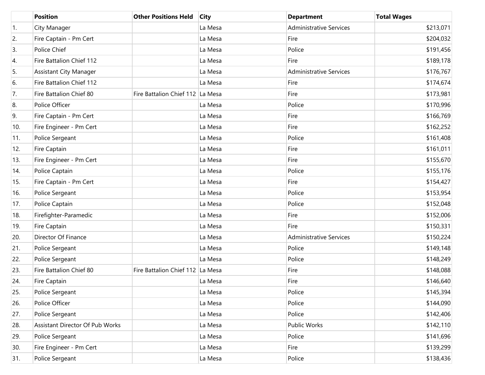|     | <b>Position</b>                 | <b>Other Positions Held</b>      | <b>City</b> | <b>Department</b>              | <b>Total Wages</b> |
|-----|---------------------------------|----------------------------------|-------------|--------------------------------|--------------------|
| 1.  | City Manager                    |                                  | La Mesa     | <b>Administrative Services</b> | \$213,071          |
| 2.  | Fire Captain - Pm Cert          |                                  | La Mesa     | Fire                           | \$204,032          |
| 3.  | Police Chief                    |                                  | La Mesa     | Police                         | \$191,456          |
| 4.  | Fire Battalion Chief 112        |                                  | La Mesa     | Fire                           | \$189,178          |
| 5.  | <b>Assistant City Manager</b>   |                                  | La Mesa     | <b>Administrative Services</b> | \$176,767          |
| 6.  | Fire Battalion Chief 112        |                                  | La Mesa     | Fire                           | \$174,674          |
| 7.  | Fire Battalion Chief 80         | Fire Battalion Chief 112 La Mesa |             | Fire                           | \$173,981          |
| 8.  | Police Officer                  |                                  | La Mesa     | Police                         | \$170,996          |
| 9.  | Fire Captain - Pm Cert          |                                  | La Mesa     | Fire                           | \$166,769          |
| 10. | Fire Engineer - Pm Cert         |                                  | La Mesa     | Fire                           | \$162,252          |
| 11. | Police Sergeant                 |                                  | La Mesa     | Police                         | \$161,408          |
| 12. | Fire Captain                    |                                  | La Mesa     | Fire                           | \$161,011          |
| 13. | Fire Engineer - Pm Cert         |                                  | La Mesa     | Fire                           | \$155,670          |
| 14. | Police Captain                  |                                  | La Mesa     | Police                         | \$155,176          |
| 15. | Fire Captain - Pm Cert          |                                  | La Mesa     | Fire                           | \$154,427          |
| 16. | Police Sergeant                 |                                  | La Mesa     | Police                         | \$153,954          |
| 17. | Police Captain                  |                                  | La Mesa     | Police                         | \$152,048          |
| 18. | Firefighter-Paramedic           |                                  | La Mesa     | Fire                           | \$152,006          |
| 19. | Fire Captain                    |                                  | La Mesa     | Fire                           | \$150,331          |
| 20. | Director Of Finance             |                                  | La Mesa     | <b>Administrative Services</b> | \$150,224          |
| 21. | Police Sergeant                 |                                  | La Mesa     | Police                         | \$149,148          |
| 22. | Police Sergeant                 |                                  | La Mesa     | Police                         | \$148,249          |
| 23. | Fire Battalion Chief 80         | Fire Battalion Chief 112 La Mesa |             | Fire                           | \$148,088          |
| 24. | Fire Captain                    |                                  | La Mesa     | Fire                           | \$146,640          |
| 25. | Police Sergeant                 |                                  | La Mesa     | Police                         | \$145,394          |
| 26. | Police Officer                  |                                  | La Mesa     | Police                         | \$144,090          |
| 27. | Police Sergeant                 |                                  | La Mesa     | Police                         | \$142,406          |
| 28. | Assistant Director Of Pub Works |                                  | La Mesa     | Public Works                   | \$142,110          |
| 29. | Police Sergeant                 |                                  | La Mesa     | Police                         | \$141,696          |
| 30. | Fire Engineer - Pm Cert         |                                  | La Mesa     | Fire                           | \$139,299          |
| 31. | Police Sergeant                 |                                  | La Mesa     | Police                         | \$138,436          |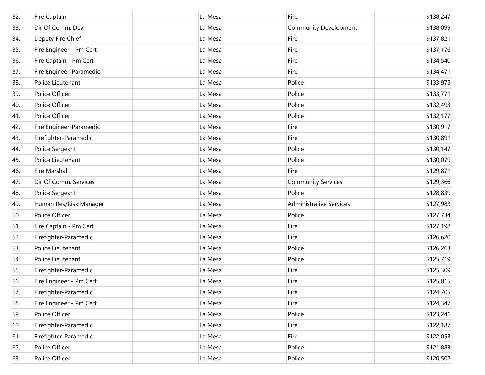| 32. | Fire Captain            | La Mesa | Fire                           | \$138,247 |
|-----|-------------------------|---------|--------------------------------|-----------|
| 33. | Dir Of Comm. Dev        | La Mesa | <b>Community Development</b>   | \$138,099 |
| 34. | Deputy Fire Chief       | La Mesa | Fire                           | \$137,821 |
| 35. | Fire Engineer - Pm Cert | La Mesa | Fire                           | \$137,176 |
| 36. | Fire Captain - Pm Cert  | La Mesa | Fire                           | \$134,540 |
| 37. | Fire Engineer-Paramedic | La Mesa | Fire                           | \$134,471 |
| 38. | Police Lieutenant       | La Mesa | Police                         | \$133,975 |
| 39. | Police Officer          | La Mesa | Police                         | \$133,771 |
| 40. | Police Officer          | La Mesa | Police                         | \$132,493 |
| 41. | Police Officer          | La Mesa | Police                         | \$132,177 |
| 42. | Fire Engineer-Paramedic | La Mesa | Fire                           | \$130,917 |
| 43. | Firefighter-Paramedic   | La Mesa | Fire                           | \$130,891 |
| 44. | Police Sergeant         | La Mesa | Police                         | \$130,147 |
| 45. | Police Lieutenant       | La Mesa | Police                         | \$130,079 |
| 46. | Fire Marshal            | La Mesa | Fire                           | \$129,871 |
| 47. | Dir Of Comm. Services   | La Mesa | <b>Community Services</b>      | \$129,366 |
| 48. | Police Sergeant         | La Mesa | Police                         | \$128,839 |
| 49. | Human Res/Risk Manager  | La Mesa | <b>Administrative Services</b> | \$127,983 |
| 50. | Police Officer          | La Mesa | Police                         | \$127,734 |
| 51. | Fire Captain - Pm Cert  | La Mesa | Fire                           | \$127,198 |
| 52. | Firefighter-Paramedic   | La Mesa | Fire                           | \$126,620 |
| 53. | Police Lieutenant       | La Mesa | Police                         | \$126,263 |
| 54. | Police Lieutenant       | La Mesa | Police                         | \$125,719 |
| 55. | Firefighter-Paramedic   | La Mesa | Fire                           | \$125,309 |
| 56. | Fire Engineer - Pm Cert | La Mesa | Fire                           | \$125,015 |
| 57. | Firefighter-Paramedic   | La Mesa | Fire                           | \$124,705 |
| 58. | Fire Engineer - Pm Cert | La Mesa | Fire                           | \$124,347 |
| 59. | Police Officer          | La Mesa | Police                         | \$123,241 |
| 60. | Firefighter-Paramedic   | La Mesa | Fire                           | \$122,187 |
| 61. | Firefighter-Paramedic   | La Mesa | Fire                           | \$122,053 |
| 62. | Police Officer          | La Mesa | Police                         | \$121,883 |
| 63. | Police Officer          | La Mesa | Police                         | \$120,502 |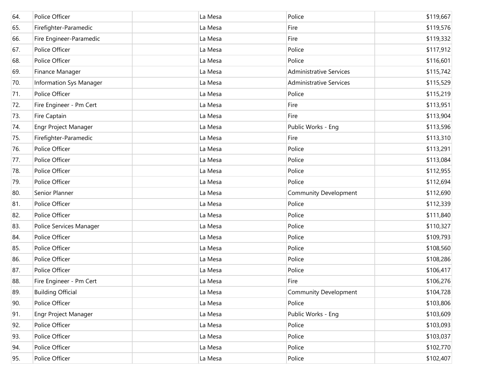| 64. | Police Officer           | La Mesa | Police                         | \$119,667 |
|-----|--------------------------|---------|--------------------------------|-----------|
| 65. | Firefighter-Paramedic    | La Mesa | Fire                           | \$119,576 |
| 66. | Fire Engineer-Paramedic  | La Mesa | Fire                           | \$119,332 |
| 67. | Police Officer           | La Mesa | Police                         | \$117,912 |
| 68. | Police Officer           | La Mesa | Police                         | \$116,601 |
| 69. | Finance Manager          | La Mesa | <b>Administrative Services</b> | \$115,742 |
| 70. | Information Sys Manager  | La Mesa | <b>Administrative Services</b> | \$115,529 |
| 71. | Police Officer           | La Mesa | Police                         | \$115,219 |
| 72. | Fire Engineer - Pm Cert  | La Mesa | Fire                           | \$113,951 |
| 73. | Fire Captain             | La Mesa | Fire                           | \$113,904 |
| 74. | Engr Project Manager     | La Mesa | Public Works - Eng             | \$113,596 |
| 75. | Firefighter-Paramedic    | La Mesa | Fire                           | \$113,310 |
| 76. | Police Officer           | La Mesa | Police                         | \$113,291 |
| 77. | Police Officer           | La Mesa | Police                         | \$113,084 |
| 78. | Police Officer           | La Mesa | Police                         | \$112,955 |
| 79. | Police Officer           | La Mesa | Police                         | \$112,694 |
| 80. | Senior Planner           | La Mesa | Community Development          | \$112,690 |
| 81. | Police Officer           | La Mesa | Police                         | \$112,339 |
| 82. | Police Officer           | La Mesa | Police                         | \$111,840 |
| 83. | Police Services Manager  | La Mesa | Police                         | \$110,327 |
| 84. | Police Officer           | La Mesa | Police                         | \$109,793 |
| 85. | Police Officer           | La Mesa | Police                         | \$108,560 |
| 86. | Police Officer           | La Mesa | Police                         | \$108,286 |
| 87. | Police Officer           | La Mesa | Police                         | \$106,417 |
| 88. | Fire Engineer - Pm Cert  | La Mesa | Fire                           | \$106,276 |
| 89. | <b>Building Official</b> | La Mesa | Community Development          | \$104,728 |
| 90. | Police Officer           | La Mesa | Police                         | \$103,806 |
| 91. | Engr Project Manager     | La Mesa | Public Works - Eng             | \$103,609 |
| 92. | Police Officer           | La Mesa | Police                         | \$103,093 |
| 93. | Police Officer           | La Mesa | Police                         | \$103,037 |
| 94. | Police Officer           | La Mesa | Police                         | \$102,770 |
| 95. | Police Officer           | La Mesa | Police                         | \$102,407 |